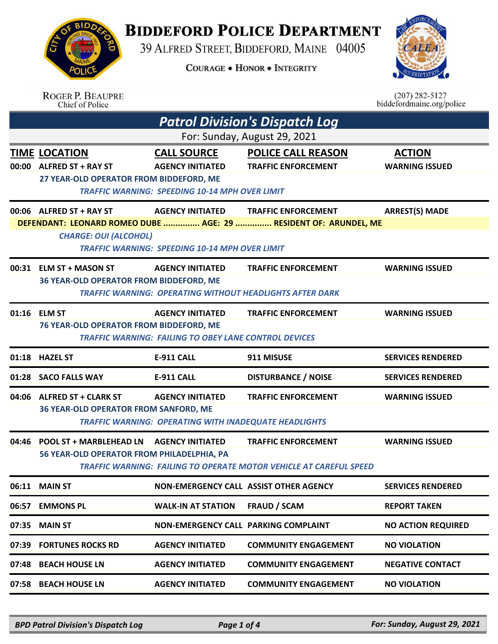**BIDDEFORD POLICE DEPARTMENT** 

39 ALFRED STREET, BIDDEFORD, MAINE 04005

**COURAGE . HONOR . INTEGRITY** 



|       | <b>ROGER P. BEAUPRE</b><br>Chief of Police                                                   |                                                                                                        |                                                                                                | $(207)$ 282-5127<br>biddefordmaine.org/police |
|-------|----------------------------------------------------------------------------------------------|--------------------------------------------------------------------------------------------------------|------------------------------------------------------------------------------------------------|-----------------------------------------------|
|       |                                                                                              |                                                                                                        | <b>Patrol Division's Dispatch Log</b>                                                          |                                               |
| 00:00 | <b>TIME LOCATION</b><br><b>ALFRED ST + RAY ST</b><br>27 YEAR-OLD OPERATOR FROM BIDDEFORD, ME | <b>CALL SOURCE</b><br><b>AGENCY INITIATED</b><br><b>TRAFFIC WARNING: SPEEDING 10-14 MPH OVER LIMIT</b> | For: Sunday, August 29, 2021<br><b>POLICE CALL REASON</b><br><b>TRAFFIC ENFORCEMENT</b>        | <b>ACTION</b><br><b>WARNING ISSUED</b>        |
|       | 00:06 ALFRED ST + RAY ST<br><b>CHARGE: OUI (ALCOHOL)</b>                                     | <b>AGENCY INITIATED</b><br><b>TRAFFIC WARNING: SPEEDING 10-14 MPH OVER LIMIT</b>                       | <b>TRAFFIC ENFORCEMENT</b><br>DEFENDANT: LEONARD ROMEO DUBE  AGE: 29  RESIDENT OF: ARUNDEL, ME | <b>ARREST(S) MADE</b>                         |
| 00:31 | <b>ELM ST + MASON ST</b><br>36 YEAR-OLD OPERATOR FROM BIDDEFORD, ME                          | <b>AGENCY INITIATED</b>                                                                                | <b>TRAFFIC ENFORCEMENT</b><br><b>TRAFFIC WARNING: OPERATING WITHOUT HEADLIGHTS AFTER DARK</b>  | <b>WARNING ISSUED</b>                         |
|       | 01:16 ELM ST<br>76 YEAR-OLD OPERATOR FROM BIDDEFORD, ME                                      | <b>AGENCY INITIATED</b><br><b>TRAFFIC WARNING: FAILING TO OBEY LANE CONTROL DEVICES</b>                | <b>TRAFFIC ENFORCEMENT</b>                                                                     | <b>WARNING ISSUED</b>                         |
|       | 01:18 HAZEL ST                                                                               | <b>E-911 CALL</b>                                                                                      | 911 MISUSE                                                                                     | <b>SERVICES RENDERED</b>                      |
| 01:28 | <b>SACO FALLS WAY</b>                                                                        | <b>E-911 CALL</b>                                                                                      | <b>DISTURBANCE / NOISE</b>                                                                     | <b>SERVICES RENDERED</b>                      |
|       | 04:06 ALFRED ST + CLARK ST<br>36 YEAR-OLD OPERATOR FROM SANFORD, ME                          | <b>AGENCY INITIATED</b><br><b>TRAFFIC WARNING: OPERATING WITH INADEQUATE HEADLIGHTS</b>                | <b>TRAFFIC ENFORCEMENT</b>                                                                     | <b>WARNING ISSUED</b>                         |
| 04:46 | <b>POOL ST + MARBLEHEAD LN</b><br>56 YEAR-OLD OPERATOR FROM PHILADELPHIA, PA                 | <b>AGENCY INITIATED</b>                                                                                | <b>TRAFFIC ENFORCEMENT</b>                                                                     | <b>WARNING ISSUED</b>                         |
|       |                                                                                              |                                                                                                        | <b>TRAFFIC WARNING: FAILING TO OPERATE MOTOR VEHICLE AT CAREFUL SPEED</b>                      |                                               |
|       | 06:11 MAIN ST                                                                                | NON-EMERGENCY CALL ASSIST OTHER AGENCY                                                                 |                                                                                                | <b>SERVICES RENDERED</b>                      |
| 06:57 | <b>EMMONS PL</b>                                                                             | <b>WALK-IN AT STATION</b>                                                                              | <b>FRAUD / SCAM</b>                                                                            | <b>REPORT TAKEN</b>                           |
| 07:35 | <b>MAIN ST</b>                                                                               | NON-EMERGENCY CALL PARKING COMPLAINT                                                                   |                                                                                                | <b>NO ACTION REQUIRED</b>                     |
| 07:39 | <b>FORTUNES ROCKS RD</b>                                                                     | <b>AGENCY INITIATED</b>                                                                                | <b>COMMUNITY ENGAGEMENT</b>                                                                    | <b>NO VIOLATION</b>                           |
| 07:48 | <b>BEACH HOUSE LN</b>                                                                        | <b>AGENCY INITIATED</b>                                                                                | <b>COMMUNITY ENGAGEMENT</b>                                                                    | <b>NEGATIVE CONTACT</b>                       |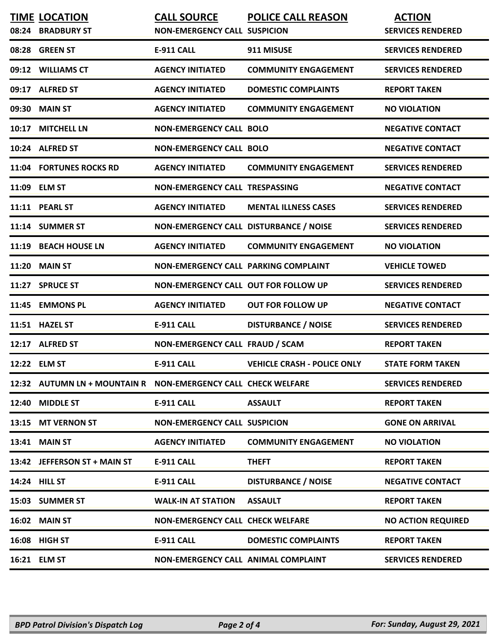| <b>TIME LOCATION</b><br>08:24 BRADBURY ST                     | <b>CALL SOURCE</b><br><b>NON-EMERGENCY CALL SUSPICION</b> | <b>POLICE CALL REASON</b>          | <b>ACTION</b><br><b>SERVICES RENDERED</b> |
|---------------------------------------------------------------|-----------------------------------------------------------|------------------------------------|-------------------------------------------|
| 08:28 GREEN ST                                                | <b>E-911 CALL</b>                                         | 911 MISUSE                         | <b>SERVICES RENDERED</b>                  |
| 09:12 WILLIAMS CT                                             | <b>AGENCY INITIATED</b>                                   | <b>COMMUNITY ENGAGEMENT</b>        | <b>SERVICES RENDERED</b>                  |
| 09:17 ALFRED ST                                               | <b>AGENCY INITIATED</b>                                   | <b>DOMESTIC COMPLAINTS</b>         | <b>REPORT TAKEN</b>                       |
| 09:30 MAIN ST                                                 | <b>AGENCY INITIATED</b>                                   | <b>COMMUNITY ENGAGEMENT</b>        | <b>NO VIOLATION</b>                       |
| 10:17 MITCHELL LN                                             | <b>NON-EMERGENCY CALL BOLO</b>                            |                                    | <b>NEGATIVE CONTACT</b>                   |
| 10:24 ALFRED ST                                               | <b>NON-EMERGENCY CALL BOLO</b>                            |                                    | <b>NEGATIVE CONTACT</b>                   |
| 11:04 FORTUNES ROCKS RD                                       | <b>AGENCY INITIATED</b>                                   | <b>COMMUNITY ENGAGEMENT</b>        | <b>SERVICES RENDERED</b>                  |
| 11:09 ELM ST                                                  | NON-EMERGENCY CALL TRESPASSING                            |                                    | <b>NEGATIVE CONTACT</b>                   |
| 11:11 PEARL ST                                                | <b>AGENCY INITIATED</b>                                   | <b>MENTAL ILLNESS CASES</b>        | <b>SERVICES RENDERED</b>                  |
| 11:14 SUMMER ST                                               | NON-EMERGENCY CALL DISTURBANCE / NOISE                    |                                    | <b>SERVICES RENDERED</b>                  |
| 11:19 BEACH HOUSE LN                                          | <b>AGENCY INITIATED</b>                                   | <b>COMMUNITY ENGAGEMENT</b>        | <b>NO VIOLATION</b>                       |
| <b>11:20 MAIN ST</b>                                          | NON-EMERGENCY CALL PARKING COMPLAINT                      |                                    | <b>VEHICLE TOWED</b>                      |
| 11:27 SPRUCE ST                                               | NON-EMERGENCY CALL OUT FOR FOLLOW UP                      |                                    | <b>SERVICES RENDERED</b>                  |
| 11:45 EMMONS PL                                               | <b>AGENCY INITIATED</b>                                   | <b>OUT FOR FOLLOW UP</b>           | <b>NEGATIVE CONTACT</b>                   |
| 11:51 HAZEL ST                                                | <b>E-911 CALL</b>                                         | <b>DISTURBANCE / NOISE</b>         | <b>SERVICES RENDERED</b>                  |
| 12:17 ALFRED ST                                               | NON-EMERGENCY CALL FRAUD / SCAM                           |                                    | <b>REPORT TAKEN</b>                       |
| 12:22 ELM ST                                                  | <b>E-911 CALL</b>                                         | <b>VEHICLE CRASH - POLICE ONLY</b> | <b>STATE FORM TAKEN</b>                   |
| 12:32 AUTUMN LN + MOUNTAIN R NON-EMERGENCY CALL CHECK WELFARE |                                                           |                                    | <b>SERVICES RENDERED</b>                  |
| 12:40 MIDDLE ST                                               | E-911 CALL                                                | <b>ASSAULT</b>                     | <b>REPORT TAKEN</b>                       |
| 13:15 MT VERNON ST                                            | <b>NON-EMERGENCY CALL SUSPICION</b>                       |                                    | <b>GONE ON ARRIVAL</b>                    |
| 13:41 MAIN ST                                                 | <b>AGENCY INITIATED</b>                                   | <b>COMMUNITY ENGAGEMENT</b>        | <b>NO VIOLATION</b>                       |
| 13:42 JEFFERSON ST + MAIN ST                                  | E-911 CALL                                                | <b>THEFT</b>                       | <b>REPORT TAKEN</b>                       |
| 14:24 HILL ST                                                 | <b>E-911 CALL</b>                                         | <b>DISTURBANCE / NOISE</b>         | <b>NEGATIVE CONTACT</b>                   |
| 15:03 SUMMER ST                                               | <b>WALK-IN AT STATION</b>                                 | <b>ASSAULT</b>                     | <b>REPORT TAKEN</b>                       |
| <b>16:02 MAIN ST</b>                                          | <b>NON-EMERGENCY CALL CHECK WELFARE</b>                   |                                    | <b>NO ACTION REQUIRED</b>                 |
| 16:08 HIGH ST                                                 | E-911 CALL                                                | <b>DOMESTIC COMPLAINTS</b>         | <b>REPORT TAKEN</b>                       |
| 16:21 ELM ST                                                  | NON-EMERGENCY CALL ANIMAL COMPLAINT                       |                                    | <b>SERVICES RENDERED</b>                  |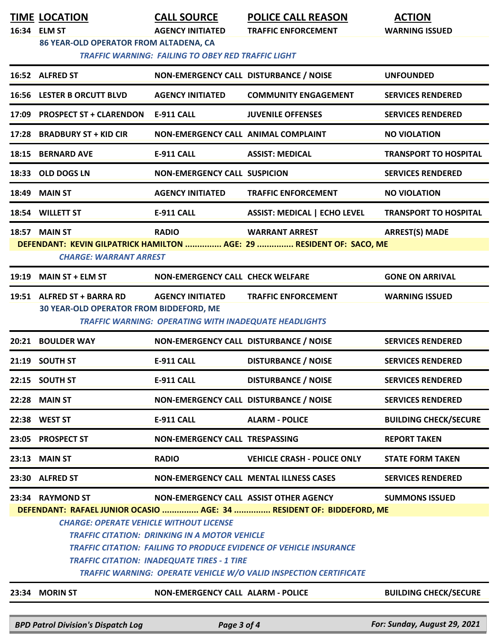|       | <b>TIME LOCATION</b><br>16:34 ELM ST                                                                                                                                                                                                                                                                           | <b>CALL SOURCE</b><br><b>AGENCY INITIATED</b>                                           | <b>POLICE CALL REASON</b><br><b>TRAFFIC ENFORCEMENT</b>                                                        | <b>ACTION</b><br><b>WARNING ISSUED</b> |
|-------|----------------------------------------------------------------------------------------------------------------------------------------------------------------------------------------------------------------------------------------------------------------------------------------------------------------|-----------------------------------------------------------------------------------------|----------------------------------------------------------------------------------------------------------------|----------------------------------------|
|       | 86 YEAR-OLD OPERATOR FROM ALTADENA, CA                                                                                                                                                                                                                                                                         | <b>TRAFFIC WARNING: FAILING TO OBEY RED TRAFFIC LIGHT</b>                               |                                                                                                                |                                        |
|       | 16:52 ALFRED ST                                                                                                                                                                                                                                                                                                | NON-EMERGENCY CALL DISTURBANCE / NOISE                                                  |                                                                                                                | <b>UNFOUNDED</b>                       |
|       | <b>16:56 LESTER B ORCUTT BLVD</b>                                                                                                                                                                                                                                                                              | <b>AGENCY INITIATED</b>                                                                 | <b>COMMUNITY ENGAGEMENT</b>                                                                                    | <b>SERVICES RENDERED</b>               |
|       | 17:09 PROSPECT ST + CLARENDON                                                                                                                                                                                                                                                                                  | <b>E-911 CALL</b>                                                                       | <b>JUVENILE OFFENSES</b>                                                                                       | <b>SERVICES RENDERED</b>               |
|       | 17:28 BRADBURY ST + KID CIR                                                                                                                                                                                                                                                                                    | NON-EMERGENCY CALL ANIMAL COMPLAINT                                                     |                                                                                                                | <b>NO VIOLATION</b>                    |
| 18:15 | <b>BERNARD AVE</b>                                                                                                                                                                                                                                                                                             | <b>E-911 CALL</b>                                                                       | <b>ASSIST: MEDICAL</b>                                                                                         | <b>TRANSPORT TO HOSPITAL</b>           |
|       | 18:33 OLD DOGS LN                                                                                                                                                                                                                                                                                              | <b>NON-EMERGENCY CALL SUSPICION</b>                                                     |                                                                                                                | <b>SERVICES RENDERED</b>               |
| 18:49 | <b>MAIN ST</b>                                                                                                                                                                                                                                                                                                 | <b>AGENCY INITIATED</b>                                                                 | <b>TRAFFIC ENFORCEMENT</b>                                                                                     | <b>NO VIOLATION</b>                    |
|       | 18:54 WILLETT ST                                                                                                                                                                                                                                                                                               | <b>E-911 CALL</b>                                                                       | <b>ASSIST: MEDICAL   ECHO LEVEL</b>                                                                            | <b>TRANSPORT TO HOSPITAL</b>           |
|       | 18:57 MAIN ST<br><b>CHARGE: WARRANT ARREST</b>                                                                                                                                                                                                                                                                 | <b>RADIO</b>                                                                            | <b>WARRANT ARREST</b><br>DEFENDANT: KEVIN GILPATRICK HAMILTON  AGE: 29  RESIDENT OF: SACO, ME                  | <b>ARREST(S) MADE</b>                  |
|       | 19:19 MAIN ST + ELM ST                                                                                                                                                                                                                                                                                         | <b>NON-EMERGENCY CALL CHECK WELFARE</b>                                                 |                                                                                                                | <b>GONE ON ARRIVAL</b>                 |
|       | 19:51 ALFRED ST + BARRA RD<br><b>30 YEAR-OLD OPERATOR FROM BIDDEFORD, ME</b>                                                                                                                                                                                                                                   | <b>AGENCY INITIATED</b><br><b>TRAFFIC WARNING: OPERATING WITH INADEQUATE HEADLIGHTS</b> | <b>TRAFFIC ENFORCEMENT</b>                                                                                     | <b>WARNING ISSUED</b>                  |
|       | 20:21 BOULDER WAY                                                                                                                                                                                                                                                                                              | NON-EMERGENCY CALL DISTURBANCE / NOISE                                                  |                                                                                                                | <b>SERVICES RENDERED</b>               |
|       | 21:19 SOUTH ST                                                                                                                                                                                                                                                                                                 | <b>E-911 CALL</b>                                                                       | <b>DISTURBANCE / NOISE</b>                                                                                     | <b>SERVICES RENDERED</b>               |
|       | 22:15 SOUTH ST                                                                                                                                                                                                                                                                                                 | E-911 CALL                                                                              | <b>DISTURBANCE / NOISE</b>                                                                                     | <b>SERVICES RENDERED</b>               |
|       | <b>22:28 MAIN ST</b>                                                                                                                                                                                                                                                                                           | NON-EMERGENCY CALL DISTURBANCE / NOISE                                                  |                                                                                                                | <b>SERVICES RENDERED</b>               |
|       | 22:38 WEST ST                                                                                                                                                                                                                                                                                                  | E-911 CALL                                                                              | <b>ALARM - POLICE</b>                                                                                          | <b>BUILDING CHECK/SECURE</b>           |
|       | 23:05 PROSPECT ST                                                                                                                                                                                                                                                                                              | NON-EMERGENCY CALL TRESPASSING                                                          |                                                                                                                | <b>REPORT TAKEN</b>                    |
|       | 23:13 MAIN ST                                                                                                                                                                                                                                                                                                  | <b>RADIO</b>                                                                            | <b>VEHICLE CRASH - POLICE ONLY</b>                                                                             | <b>STATE FORM TAKEN</b>                |
|       | 23:30 ALFRED ST                                                                                                                                                                                                                                                                                                |                                                                                         | <b>NON-EMERGENCY CALL MENTAL ILLNESS CASES</b>                                                                 | <b>SERVICES RENDERED</b>               |
|       | 23:34 RAYMOND ST                                                                                                                                                                                                                                                                                               |                                                                                         | NON-EMERGENCY CALL ASSIST OTHER AGENCY<br>DEFENDANT: RAFAEL JUNIOR OCASIO  AGE: 34  RESIDENT OF: BIDDEFORD, ME | <b>SUMMONS ISSUED</b>                  |
|       | <b>CHARGE: OPERATE VEHICLE WITHOUT LICENSE</b><br><b>TRAFFIC CITATION: DRINKING IN A MOTOR VEHICLE</b><br><b>TRAFFIC CITATION: FAILING TO PRODUCE EVIDENCE OF VEHICLE INSURANCE</b><br><b>TRAFFIC CITATION: INADEQUATE TIRES - 1 TIRE</b><br>TRAFFIC WARNING: OPERATE VEHICLE W/O VALID INSPECTION CERTIFICATE |                                                                                         |                                                                                                                |                                        |
|       | 23:34 MORIN ST                                                                                                                                                                                                                                                                                                 | <b>NON-EMERGENCY CALL ALARM - POLICE</b>                                                |                                                                                                                | <b>BUILDING CHECK/SECURE</b>           |

*BPD Patrol Division's Dispatch Log Page 3 of 4 For: Sunday, August 29, 2021*